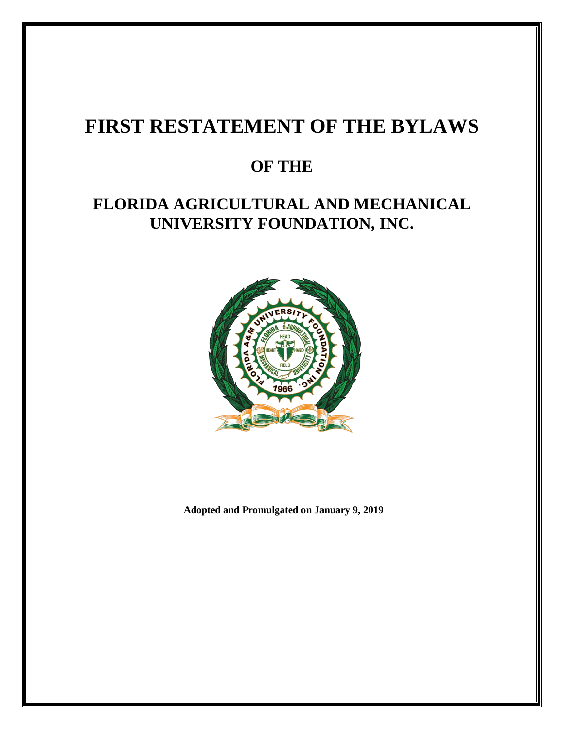# **FIRST RESTATEMENT OF THE BYLAWS**

## **OF THE**

## **FLORIDA AGRICULTURAL AND MECHANICAL UNIVERSITY FOUNDATION, INC.**



**Adopted and Promulgated on January 9, 2019**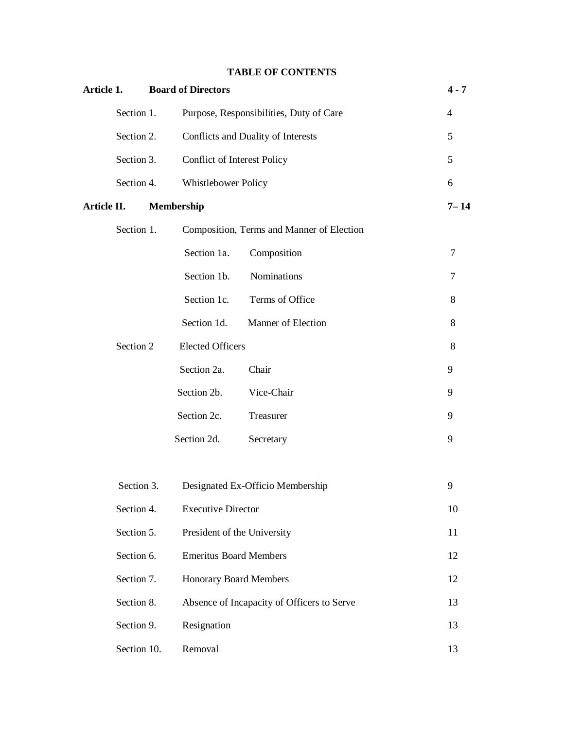## **TABLE OF CONTENTS**

| Article 1.  |             |                   | <b>Board of Directors</b>     |                                            | $4 - 7$        |
|-------------|-------------|-------------------|-------------------------------|--------------------------------------------|----------------|
|             | Section 1.  |                   |                               | Purpose, Responsibilities, Duty of Care    | $\overline{4}$ |
|             | Section 2.  |                   |                               | Conflicts and Duality of Interests         | 5              |
|             | Section 3.  |                   | Conflict of Interest Policy   |                                            | 5              |
|             | Section 4.  |                   | Whistlebower Policy           |                                            | 6              |
| Article II. |             | <b>Membership</b> |                               |                                            | $7 - 14$       |
|             | Section 1.  |                   |                               | Composition, Terms and Manner of Election  |                |
|             |             |                   | Section 1a.                   | Composition                                | $\tau$         |
|             |             |                   | Section 1b.                   | Nominations                                | $\tau$         |
|             |             |                   | Section 1c.                   | Terms of Office                            | 8              |
|             |             |                   | Section 1d.                   | Manner of Election                         | 8              |
|             | Section 2   |                   | <b>Elected Officers</b>       |                                            | 8              |
|             |             |                   | Section 2a.                   | Chair                                      | 9              |
|             |             |                   | Section 2b.                   | Vice-Chair                                 | 9              |
|             |             |                   | Section 2c.                   | Treasurer                                  | 9              |
|             |             |                   | Section 2d.                   | Secretary                                  | 9              |
|             |             |                   |                               |                                            |                |
|             | Section 3.  |                   |                               | Designated Ex-Officio Membership           | 9              |
|             | Section 4.  |                   | <b>Executive Director</b>     |                                            | 10             |
|             | Section 5.  |                   | President of the University   |                                            | 11             |
|             | Section 6.  |                   | <b>Emeritus Board Members</b> |                                            | 12             |
|             | Section 7.  |                   | <b>Honorary Board Members</b> |                                            | 12             |
|             | Section 8.  |                   |                               | Absence of Incapacity of Officers to Serve | 13             |
|             | Section 9.  |                   | Resignation                   |                                            | 13             |
|             | Section 10. |                   | Removal                       |                                            | 13             |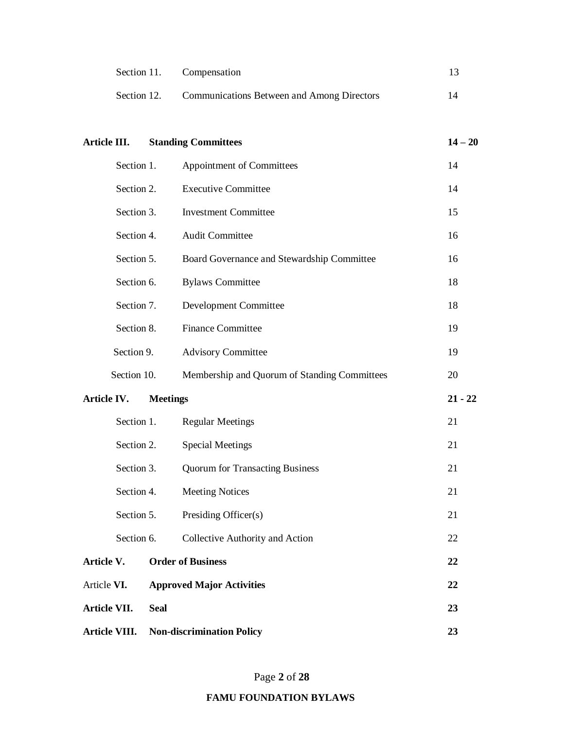|             | Section 11. Compensation                          |  |
|-------------|---------------------------------------------------|--|
| Section 12. | <b>Communications Between and Among Directors</b> |  |

| Article III.                       |             | <b>Standing Committees</b>                   | $14 - 20$ |
|------------------------------------|-------------|----------------------------------------------|-----------|
|                                    | Section 1.  | Appointment of Committees                    | 14        |
|                                    | Section 2.  | <b>Executive Committee</b>                   | 14        |
|                                    | Section 3.  | <b>Investment Committee</b>                  | 15        |
|                                    | Section 4.  | <b>Audit Committee</b>                       | 16        |
|                                    | Section 5.  | Board Governance and Stewardship Committee   | 16        |
|                                    | Section 6.  | <b>Bylaws Committee</b>                      | 18        |
|                                    | Section 7.  | Development Committee                        | 18        |
|                                    | Section 8.  | <b>Finance Committee</b>                     | 19        |
|                                    | Section 9.  | <b>Advisory Committee</b>                    | 19        |
|                                    | Section 10. | Membership and Quorum of Standing Committees | 20        |
| Article IV.                        |             | <b>Meetings</b>                              | $21 - 22$ |
|                                    | Section 1.  | <b>Regular Meetings</b>                      | 21        |
|                                    | Section 2.  | <b>Special Meetings</b>                      | 21        |
|                                    | Section 3.  | <b>Quorum for Transacting Business</b>       | 21        |
|                                    | Section 4.  | <b>Meeting Notices</b>                       | 21        |
|                                    | Section 5.  | Presiding Officer(s)                         | 21        |
|                                    | Section 6.  | Collective Authority and Action              | 22        |
|                                    |             | <b>Order of Business</b>                     | 22        |
| Article V.                         |             |                                              |           |
|                                    |             | <b>Approved Major Activities</b>             | 22        |
| Article VI.<br><b>Article VII.</b> | <b>Seal</b> |                                              | 23        |

Page **2** of **28**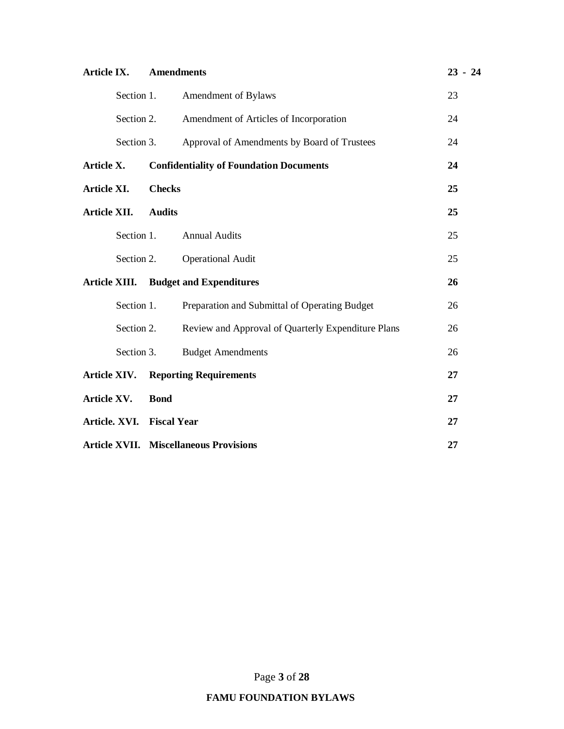| Article IX.   |                           | <b>Amendments</b> |                                                    | $23 - 24$ |
|---------------|---------------------------|-------------------|----------------------------------------------------|-----------|
|               | Section 1.                |                   | Amendment of Bylaws                                | 23        |
|               | Section 2.                |                   | Amendment of Articles of Incorporation             | 24        |
|               | Section 3.                |                   | Approval of Amendments by Board of Trustees        | 24        |
| Article X.    |                           |                   | <b>Confidentiality of Foundation Documents</b>     | 24        |
| Article XI.   |                           | <b>Checks</b>     |                                                    | 25        |
| Article XII.  |                           | <b>Audits</b>     |                                                    | 25        |
|               | Section 1.                |                   | <b>Annual Audits</b>                               | 25        |
|               | Section 2.                |                   | <b>Operational Audit</b>                           | 25        |
| Article XIII. |                           |                   | <b>Budget and Expenditures</b>                     | 26        |
|               | Section 1.                |                   | Preparation and Submittal of Operating Budget      | 26        |
|               | Section 2.                |                   | Review and Approval of Quarterly Expenditure Plans | 26        |
|               | Section 3.                |                   | <b>Budget Amendments</b>                           | 26        |
| Article XIV.  |                           |                   | <b>Reporting Requirements</b>                      | 27        |
| Article XV.   |                           | <b>Bond</b>       |                                                    | 27        |
|               | Article. XVI. Fiscal Year |                   |                                                    | 27        |
|               |                           |                   | <b>Article XVII. Miscellaneous Provisions</b>      | 27        |

Page **3** of **28**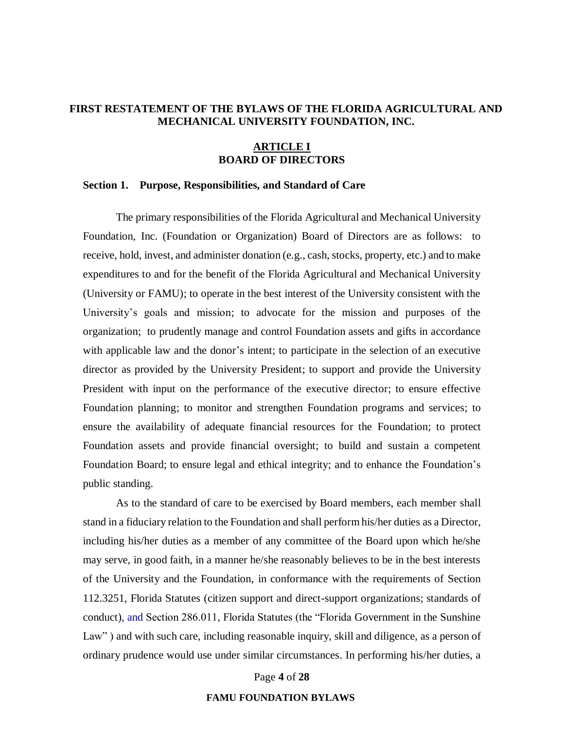## **FIRST RESTATEMENT OF THE BYLAWS OF THE FLORIDA AGRICULTURAL AND MECHANICAL UNIVERSITY FOUNDATION, INC.**

## **ARTICLE I BOARD OF DIRECTORS**

## **Section 1. Purpose, Responsibilities, and Standard of Care**

The primary responsibilities of the Florida Agricultural and Mechanical University Foundation, Inc. (Foundation or Organization) Board of Directors are as follows: to receive, hold, invest, and administer donation (e.g., cash, stocks, property, etc.) and to make expenditures to and for the benefit of the Florida Agricultural and Mechanical University (University or FAMU); to operate in the best interest of the University consistent with the University's goals and mission; to advocate for the mission and purposes of the organization; to prudently manage and control Foundation assets and gifts in accordance with applicable law and the donor's intent; to participate in the selection of an executive director as provided by the University President; to support and provide the University President with input on the performance of the executive director; to ensure effective Foundation planning; to monitor and strengthen Foundation programs and services; to ensure the availability of adequate financial resources for the Foundation; to protect Foundation assets and provide financial oversight; to build and sustain a competent Foundation Board; to ensure legal and ethical integrity; and to enhance the Foundation's public standing.

As to the standard of care to be exercised by Board members, each member shall stand in a fiduciary relation to the Foundation and shall perform his/her duties as a Director, including his/her duties as a member of any committee of the Board upon which he/she may serve, in good faith, in a manner he/she reasonably believes to be in the best interests of the University and the Foundation, in conformance with the requirements of Section 112.3251, Florida Statutes (citizen support and direct-support organizations; standards of conduct), and Section 286.011, Florida Statutes (the "Florida Government in the Sunshine Law") and with such care, including reasonable inquiry, skill and diligence, as a person of ordinary prudence would use under similar circumstances. In performing his/her duties, a

#### Page **4** of **28**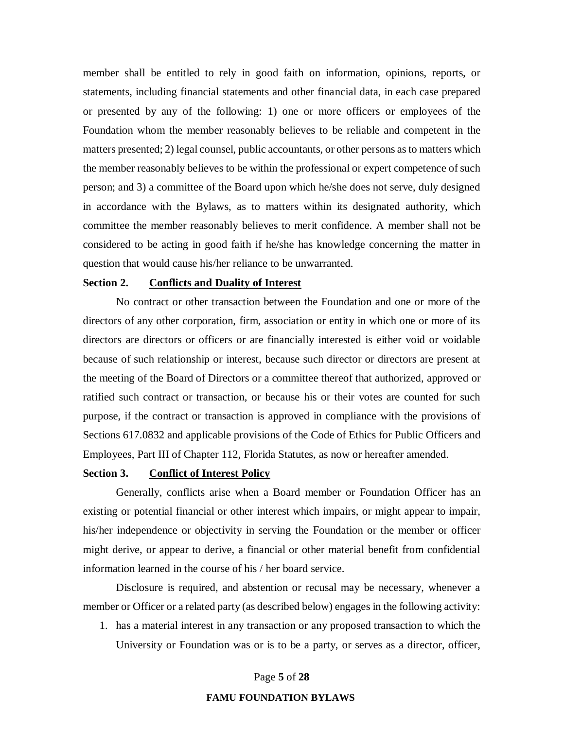member shall be entitled to rely in good faith on information, opinions, reports, or statements, including financial statements and other financial data, in each case prepared or presented by any of the following: 1) one or more officers or employees of the Foundation whom the member reasonably believes to be reliable and competent in the matters presented; 2) legal counsel, public accountants, or other persons as to matters which the member reasonably believes to be within the professional or expert competence of such person; and 3) a committee of the Board upon which he/she does not serve, duly designed in accordance with the Bylaws, as to matters within its designated authority, which committee the member reasonably believes to merit confidence. A member shall not be considered to be acting in good faith if he/she has knowledge concerning the matter in question that would cause his/her reliance to be unwarranted.

## **Section 2. Conflicts and Duality of Interest**

No contract or other transaction between the Foundation and one or more of the directors of any other corporation, firm, association or entity in which one or more of its directors are directors or officers or are financially interested is either void or voidable because of such relationship or interest, because such director or directors are present at the meeting of the Board of Directors or a committee thereof that authorized, approved or ratified such contract or transaction, or because his or their votes are counted for such purpose, if the contract or transaction is approved in compliance with the provisions of Sections 617.0832 and applicable provisions of the Code of Ethics for Public Officers and Employees, Part III of Chapter 112, Florida Statutes, as now or hereafter amended.

## **Section 3. Conflict of Interest Policy**

Generally, conflicts arise when a Board member or Foundation Officer has an existing or potential financial or other interest which impairs, or might appear to impair, his/her independence or objectivity in serving the Foundation or the member or officer might derive, or appear to derive, a financial or other material benefit from confidential information learned in the course of his / her board service.

Disclosure is required, and abstention or recusal may be necessary, whenever a member or Officer or a related party (as described below) engages in the following activity:

1. has a material interest in any transaction or any proposed transaction to which the University or Foundation was or is to be a party, or serves as a director, officer,

Page **5** of **28**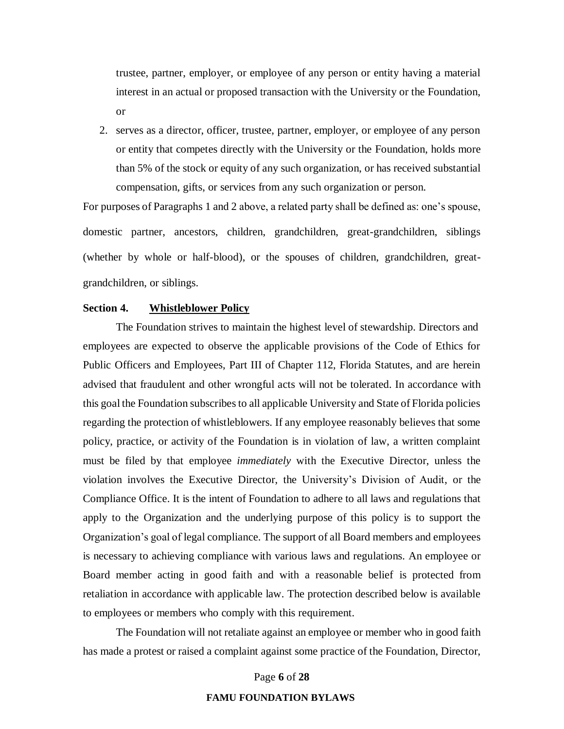trustee, partner, employer, or employee of any person or entity having a material interest in an actual or proposed transaction with the University or the Foundation, or

2. serves as a director, officer, trustee, partner, employer, or employee of any person or entity that competes directly with the University or the Foundation, holds more than 5% of the stock or equity of any such organization, or has received substantial compensation, gifts, or services from any such organization or person.

For purposes of Paragraphs 1 and 2 above, a related party shall be defined as: one's spouse, domestic partner, ancestors, children, grandchildren, great-grandchildren, siblings (whether by whole or half-blood), or the spouses of children, grandchildren, greatgrandchildren, or siblings.

## **Section 4. Whistleblower Policy**

The Foundation strives to maintain the highest level of stewardship. Directors and employees are expected to observe the applicable provisions of the Code of Ethics for Public Officers and Employees, Part III of Chapter 112, Florida Statutes, and are herein advised that fraudulent and other wrongful acts will not be tolerated. In accordance with this goal the Foundation subscribes to all applicable University and State of Florida policies regarding the protection of whistleblowers. If any employee reasonably believes that some policy, practice, or activity of the Foundation is in violation of law, a written complaint must be filed by that employee *immediately* with the Executive Director, unless the violation involves the Executive Director, the University's Division of Audit, or the Compliance Office. It is the intent of Foundation to adhere to all laws and regulations that apply to the Organization and the underlying purpose of this policy is to support the Organization's goal of legal compliance. The support of all Board members and employees is necessary to achieving compliance with various laws and regulations. An employee or Board member acting in good faith and with a reasonable belief is protected from retaliation in accordance with applicable law. The protection described below is available to employees or members who comply with this requirement.

The Foundation will not retaliate against an employee or member who in good faith has made a protest or raised a complaint against some practice of the Foundation, Director,

Page **6** of **28**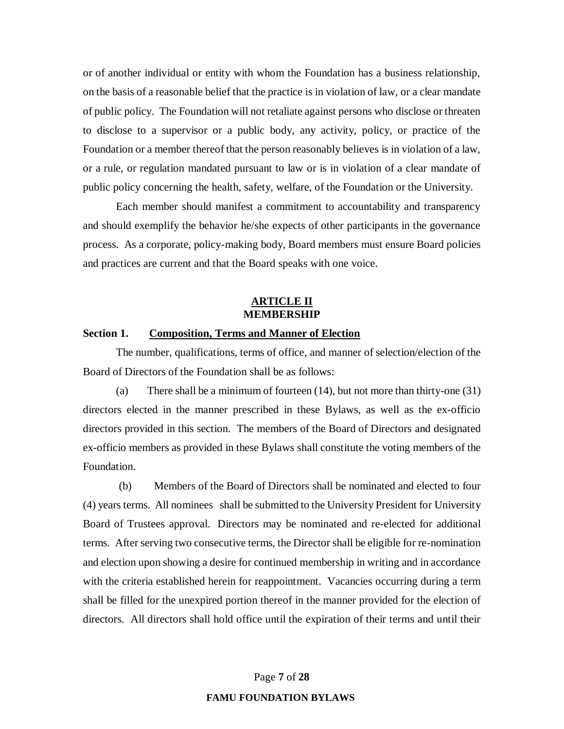or of another individual or entity with whom the Foundation has a business relationship, on the basis of a reasonable belief that the practice is in violation of law, or a clear mandate of public policy. The Foundation will not retaliate against persons who disclose or threaten to disclose to a supervisor or a public body, any activity, policy, or practice of the Foundation or a member thereof that the person reasonably believes is in violation of a law, or a rule, or regulation mandated pursuant to law or is in violation of a clear mandate of public policy concerning the health, safety, welfare, of the Foundation or the University.

Each member should manifest a commitment to accountability and transparency and should exemplify the behavior he/she expects of other participants in the governance process. As a corporate, policy-making body, Board members must ensure Board policies and practices are current and that the Board speaks with one voice.

## **ARTICLE II MEMBERSHIP**

## **Section 1. Composition, Terms and Manner of Election**

The number, qualifications, terms of office, and manner of selection/election of the Board of Directors of the Foundation shall be as follows:

(a) There shall be a minimum of fourteen (14), but not more than thirty-one (31) directors elected in the manner prescribed in these Bylaws, as well as the ex-officio directors provided in this section. The members of the Board of Directors and designated ex-officio members as provided in these Bylaws shall constitute the voting members of the Foundation.

(b) Members of the Board of Directors shall be nominated and elected to four (4) years terms. All nominees shall be submitted to the University President for University Board of Trustees approval. Directors may be nominated and re-elected for additional terms. After serving two consecutive terms, the Director shall be eligible for re-nomination and election upon showing a desire for continued membership in writing and in accordance with the criteria established herein for reappointment. Vacancies occurring during a term shall be filled for the unexpired portion thereof in the manner provided for the election of directors. All directors shall hold office until the expiration of their terms and until their

Page **7** of **28**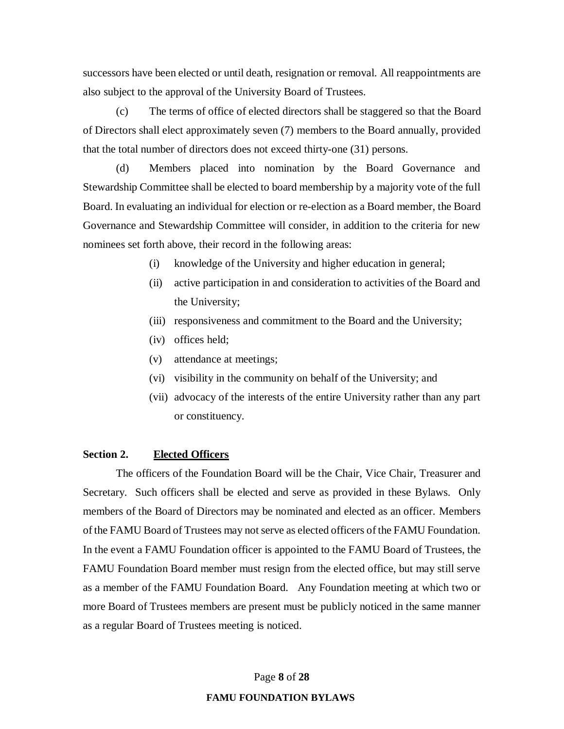successors have been elected or until death, resignation or removal. All reappointments are also subject to the approval of the University Board of Trustees.

(c) The terms of office of elected directors shall be staggered so that the Board of Directors shall elect approximately seven (7) members to the Board annually, provided that the total number of directors does not exceed thirty-one (31) persons.

(d) Members placed into nomination by the Board Governance and Stewardship Committee shall be elected to board membership by a majority vote of the full Board. In evaluating an individual for election or re-election as a Board member, the Board Governance and Stewardship Committee will consider, in addition to the criteria for new nominees set forth above, their record in the following areas:

- (i) knowledge of the University and higher education in general;
- (ii) active participation in and consideration to activities of the Board and the University;
- (iii) responsiveness and commitment to the Board and the University;
- (iv) offices held;
- (v) attendance at meetings;
- (vi) visibility in the community on behalf of the University; and
- (vii) advocacy of the interests of the entire University rather than any part or constituency.

## **Section 2. Elected Officers**

The officers of the Foundation Board will be the Chair, Vice Chair, Treasurer and Secretary. Such officers shall be elected and serve as provided in these Bylaws. Only members of the Board of Directors may be nominated and elected as an officer. Members of the FAMU Board of Trustees may not serve as elected officers of the FAMU Foundation. In the event a FAMU Foundation officer is appointed to the FAMU Board of Trustees, the FAMU Foundation Board member must resign from the elected office, but may still serve as a member of the FAMU Foundation Board. Any Foundation meeting at which two or more Board of Trustees members are present must be publicly noticed in the same manner as a regular Board of Trustees meeting is noticed.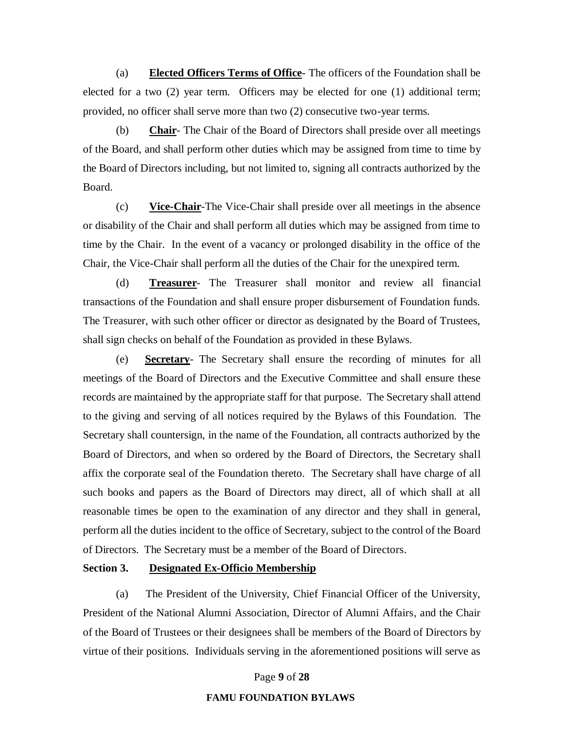(a) **Elected Officers Terms of Office**- The officers of the Foundation shall be elected for a two (2) year term. Officers may be elected for one (1) additional term; provided, no officer shall serve more than two (2) consecutive two-year terms.

(b) **Chair**- The Chair of the Board of Directors shall preside over all meetings of the Board, and shall perform other duties which may be assigned from time to time by the Board of Directors including, but not limited to, signing all contracts authorized by the Board.

(c) **Vice-Chair**-The Vice-Chair shall preside over all meetings in the absence or disability of the Chair and shall perform all duties which may be assigned from time to time by the Chair. In the event of a vacancy or prolonged disability in the office of the Chair, the Vice-Chair shall perform all the duties of the Chair for the unexpired term.

(d) **Treasurer**- The Treasurer shall monitor and review all financial transactions of the Foundation and shall ensure proper disbursement of Foundation funds. The Treasurer, with such other officer or director as designated by the Board of Trustees, shall sign checks on behalf of the Foundation as provided in these Bylaws.

(e) **Secretary**- The Secretary shall ensure the recording of minutes for all meetings of the Board of Directors and the Executive Committee and shall ensure these records are maintained by the appropriate staff for that purpose. The Secretary shall attend to the giving and serving of all notices required by the Bylaws of this Foundation. The Secretary shall countersign, in the name of the Foundation, all contracts authorized by the Board of Directors, and when so ordered by the Board of Directors, the Secretary shall affix the corporate seal of the Foundation thereto. The Secretary shall have charge of all such books and papers as the Board of Directors may direct, all of which shall at all reasonable times be open to the examination of any director and they shall in general, perform all the duties incident to the office of Secretary, subject to the control of the Board of Directors. The Secretary must be a member of the Board of Directors.

## **Section 3. Designated Ex-Officio Membership**

(a) The President of the University, Chief Financial Officer of the University, President of the National Alumni Association, Director of Alumni Affairs, and the Chair of the Board of Trustees or their designees shall be members of the Board of Directors by virtue of their positions. Individuals serving in the aforementioned positions will serve as

Page **9** of **28**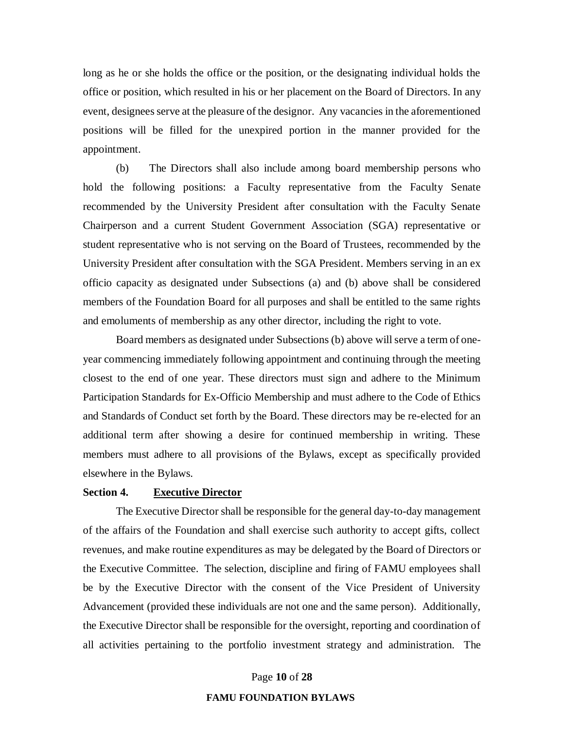long as he or she holds the office or the position, or the designating individual holds the office or position, which resulted in his or her placement on the Board of Directors. In any event, designees serve at the pleasure of the designor. Any vacancies in the aforementioned positions will be filled for the unexpired portion in the manner provided for the appointment.

(b) The Directors shall also include among board membership persons who hold the following positions: a Faculty representative from the Faculty Senate recommended by the University President after consultation with the Faculty Senate Chairperson and a current Student Government Association (SGA) representative or student representative who is not serving on the Board of Trustees, recommended by the University President after consultation with the SGA President. Members serving in an ex officio capacity as designated under Subsections (a) and (b) above shall be considered members of the Foundation Board for all purposes and shall be entitled to the same rights and emoluments of membership as any other director, including the right to vote.

Board members as designated under Subsections (b) above will serve a term of oneyear commencing immediately following appointment and continuing through the meeting closest to the end of one year. These directors must sign and adhere to the Minimum Participation Standards for Ex-Officio Membership and must adhere to the Code of Ethics and Standards of Conduct set forth by the Board. These directors may be re-elected for an additional term after showing a desire for continued membership in writing. These members must adhere to all provisions of the Bylaws, except as specifically provided elsewhere in the Bylaws.

## **Section 4. Executive Director**

The Executive Director shall be responsible for the general day-to-day management of the affairs of the Foundation and shall exercise such authority to accept gifts, collect revenues, and make routine expenditures as may be delegated by the Board of Directors or the Executive Committee. The selection, discipline and firing of FAMU employees shall be by the Executive Director with the consent of the Vice President of University Advancement (provided these individuals are not one and the same person). Additionally, the Executive Director shall be responsible for the oversight, reporting and coordination of all activities pertaining to the portfolio investment strategy and administration. The

Page **10** of **28**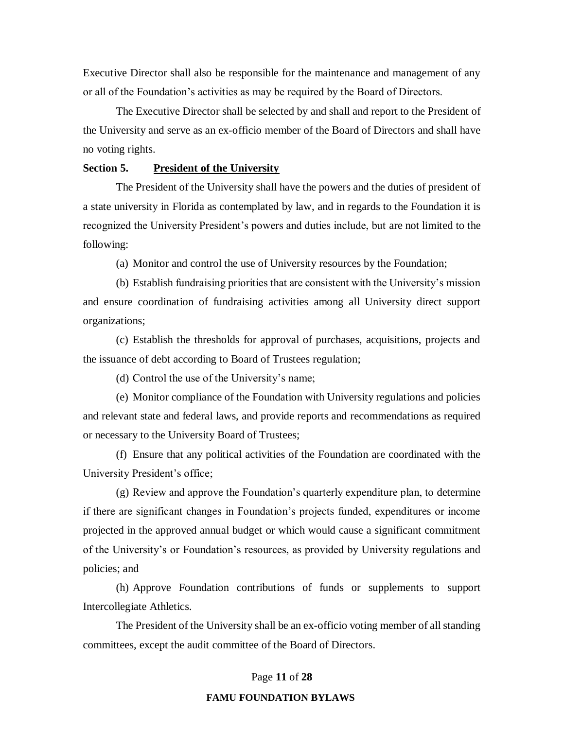Executive Director shall also be responsible for the maintenance and management of any or all of the Foundation's activities as may be required by the Board of Directors.

The Executive Director shall be selected by and shall and report to the President of the University and serve as an ex-officio member of the Board of Directors and shall have no voting rights.

## **Section 5. President of the University**

The President of the University shall have the powers and the duties of president of a state university in Florida as contemplated by law, and in regards to the Foundation it is recognized the University President's powers and duties include, but are not limited to the following:

(a) Monitor and control the use of University resources by the Foundation;

(b) Establish fundraising priorities that are consistent with the University's mission and ensure coordination of fundraising activities among all University direct support organizations;

(c) Establish the thresholds for approval of purchases, acquisitions, projects and the issuance of debt according to Board of Trustees regulation;

(d) Control the use of the University's name;

(e) Monitor compliance of the Foundation with University regulations and policies and relevant state and federal laws, and provide reports and recommendations as required or necessary to the University Board of Trustees;

(f) Ensure that any political activities of the Foundation are coordinated with the University President's office;

(g) Review and approve the Foundation's quarterly expenditure plan, to determine if there are significant changes in Foundation's projects funded, expenditures or income projected in the approved annual budget or which would cause a significant commitment of the University's or Foundation's resources, as provided by University regulations and policies; and

(h) Approve Foundation contributions of funds or supplements to support Intercollegiate Athletics.

The President of the University shall be an ex-officio voting member of all standing committees, except the audit committee of the Board of Directors.

#### Page **11** of **28**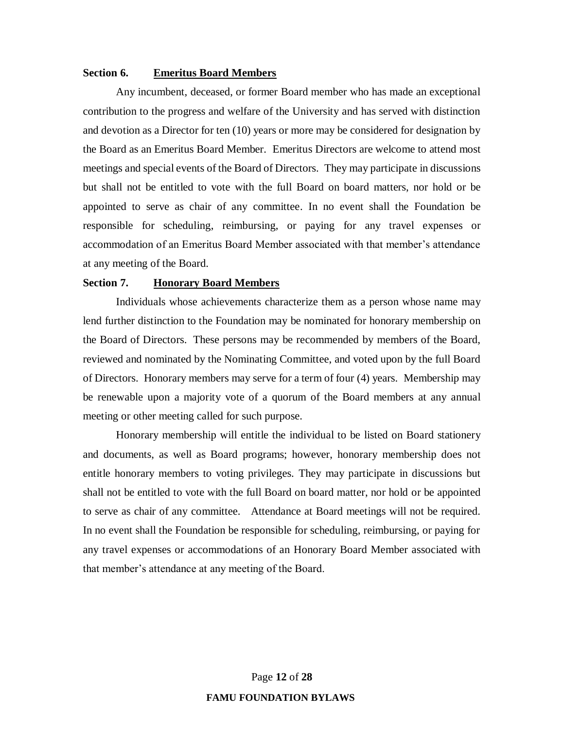## **Section 6. Emeritus Board Members**

Any incumbent, deceased, or former Board member who has made an exceptional contribution to the progress and welfare of the University and has served with distinction and devotion as a Director for ten (10) years or more may be considered for designation by the Board as an Emeritus Board Member. Emeritus Directors are welcome to attend most meetings and special events of the Board of Directors. They may participate in discussions but shall not be entitled to vote with the full Board on board matters, nor hold or be appointed to serve as chair of any committee. In no event shall the Foundation be responsible for scheduling, reimbursing, or paying for any travel expenses or accommodation of an Emeritus Board Member associated with that member's attendance at any meeting of the Board.

## **Section 7. Honorary Board Members**

Individuals whose achievements characterize them as a person whose name may lend further distinction to the Foundation may be nominated for honorary membership on the Board of Directors. These persons may be recommended by members of the Board, reviewed and nominated by the Nominating Committee, and voted upon by the full Board of Directors. Honorary members may serve for a term of four (4) years. Membership may be renewable upon a majority vote of a quorum of the Board members at any annual meeting or other meeting called for such purpose.

Honorary membership will entitle the individual to be listed on Board stationery and documents, as well as Board programs; however, honorary membership does not entitle honorary members to voting privileges. They may participate in discussions but shall not be entitled to vote with the full Board on board matter, nor hold or be appointed to serve as chair of any committee. Attendance at Board meetings will not be required. In no event shall the Foundation be responsible for scheduling, reimbursing, or paying for any travel expenses or accommodations of an Honorary Board Member associated with that member's attendance at any meeting of the Board.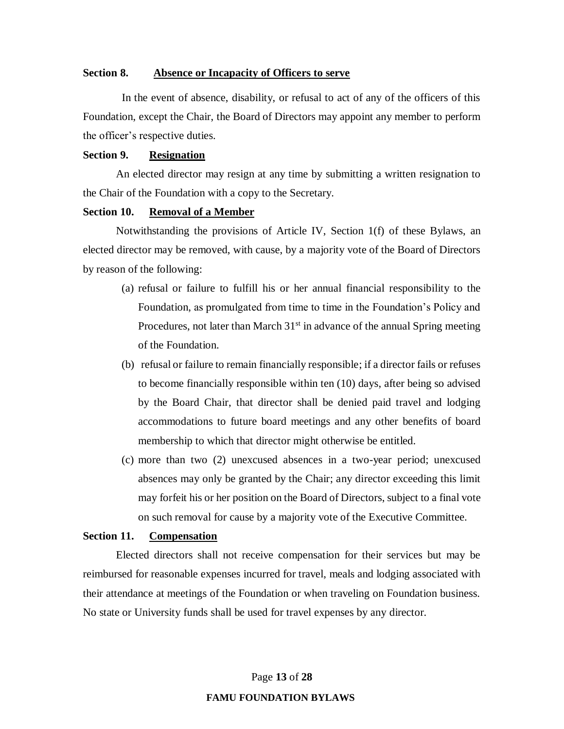## **Section 8. Absence or Incapacity of Officers to serve**

 In the event of absence, disability, or refusal to act of any of the officers of this Foundation, except the Chair, the Board of Directors may appoint any member to perform the officer's respective duties.

## **Section 9. Resignation**

An elected director may resign at any time by submitting a written resignation to the Chair of the Foundation with a copy to the Secretary.

## **Section 10. Removal of a Member**

Notwithstanding the provisions of Article IV, Section 1(f) of these Bylaws, an elected director may be removed, with cause, by a majority vote of the Board of Directors by reason of the following:

- (a) refusal or failure to fulfill his or her annual financial responsibility to the Foundation, as promulgated from time to time in the Foundation's Policy and Procedures, not later than March  $31<sup>st</sup>$  in advance of the annual Spring meeting of the Foundation.
- (b) refusal or failure to remain financially responsible; if a director fails or refuses to become financially responsible within ten (10) days, after being so advised by the Board Chair, that director shall be denied paid travel and lodging accommodations to future board meetings and any other benefits of board membership to which that director might otherwise be entitled.
- (c) more than two (2) unexcused absences in a two-year period; unexcused absences may only be granted by the Chair; any director exceeding this limit may forfeit his or her position on the Board of Directors, subject to a final vote on such removal for cause by a majority vote of the Executive Committee.

## **Section 11. Compensation**

Elected directors shall not receive compensation for their services but may be reimbursed for reasonable expenses incurred for travel, meals and lodging associated with their attendance at meetings of the Foundation or when traveling on Foundation business. No state or University funds shall be used for travel expenses by any director.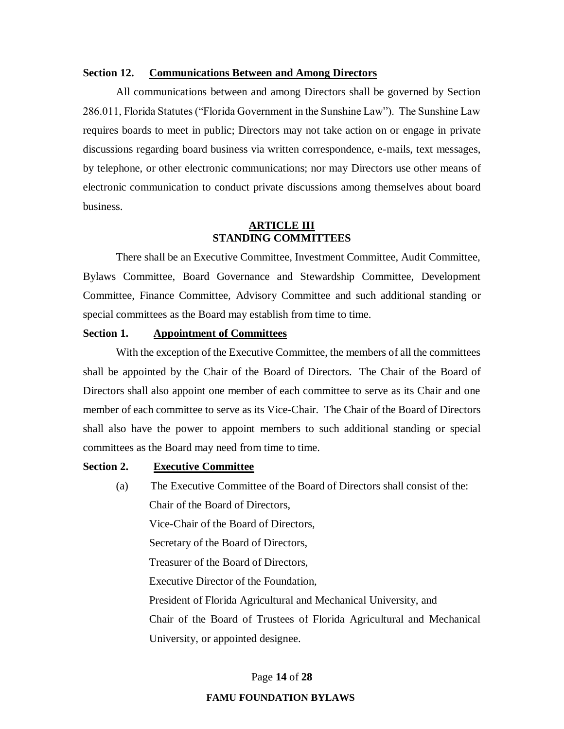## **Section 12. Communications Between and Among Directors**

All communications between and among Directors shall be governed by Section 286.011, Florida Statutes ("Florida Government in the Sunshine Law"). The Sunshine Law requires boards to meet in public; Directors may not take action on or engage in private discussions regarding board business via written correspondence, e-mails, text messages, by telephone, or other electronic communications; nor may Directors use other means of electronic communication to conduct private discussions among themselves about board business.

## **ARTICLE III STANDING COMMITTEES**

There shall be an Executive Committee, Investment Committee, Audit Committee, Bylaws Committee, Board Governance and Stewardship Committee, Development Committee, Finance Committee, Advisory Committee and such additional standing or special committees as the Board may establish from time to time.

## **Section 1. Appointment of Committees**

With the exception of the Executive Committee, the members of all the committees shall be appointed by the Chair of the Board of Directors. The Chair of the Board of Directors shall also appoint one member of each committee to serve as its Chair and one member of each committee to serve as its Vice-Chair. The Chair of the Board of Directors shall also have the power to appoint members to such additional standing or special committees as the Board may need from time to time.

#### **Section 2. Executive Committee**

(a) The Executive Committee of the Board of Directors shall consist of the: Chair of the Board of Directors, Vice-Chair of the Board of Directors, Secretary of the Board of Directors, Treasurer of the Board of Directors, Executive Director of the Foundation, President of Florida Agricultural and Mechanical University, and Chair of the Board of Trustees of Florida Agricultural and Mechanical University, or appointed designee.

#### Page **14** of **28**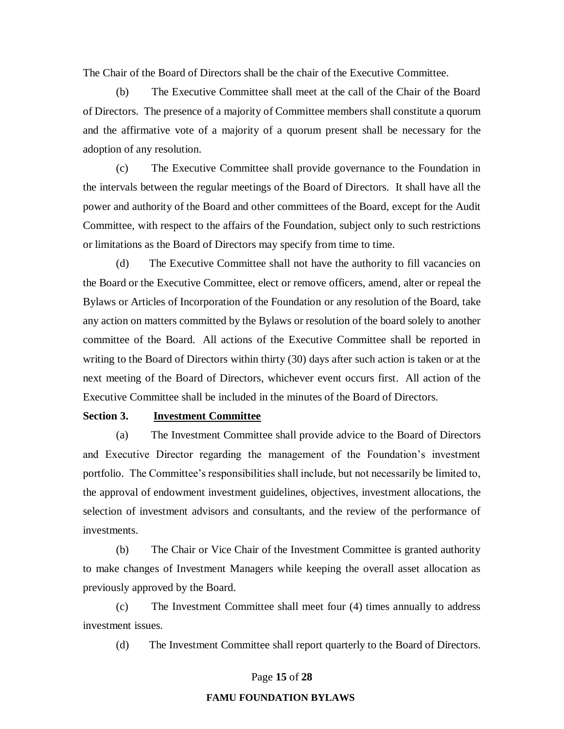The Chair of the Board of Directors shall be the chair of the Executive Committee.

(b) The Executive Committee shall meet at the call of the Chair of the Board of Directors. The presence of a majority of Committee members shall constitute a quorum and the affirmative vote of a majority of a quorum present shall be necessary for the adoption of any resolution.

(c) The Executive Committee shall provide governance to the Foundation in the intervals between the regular meetings of the Board of Directors. It shall have all the power and authority of the Board and other committees of the Board, except for the Audit Committee, with respect to the affairs of the Foundation, subject only to such restrictions or limitations as the Board of Directors may specify from time to time.

(d) The Executive Committee shall not have the authority to fill vacancies on the Board or the Executive Committee, elect or remove officers, amend, alter or repeal the Bylaws or Articles of Incorporation of the Foundation or any resolution of the Board, take any action on matters committed by the Bylaws or resolution of the board solely to another committee of the Board. All actions of the Executive Committee shall be reported in writing to the Board of Directors within thirty (30) days after such action is taken or at the next meeting of the Board of Directors, whichever event occurs first. All action of the Executive Committee shall be included in the minutes of the Board of Directors.

## **Section 3. Investment Committee**

(a) The Investment Committee shall provide advice to the Board of Directors and Executive Director regarding the management of the Foundation's investment portfolio. The Committee's responsibilities shall include, but not necessarily be limited to, the approval of endowment investment guidelines, objectives, investment allocations, the selection of investment advisors and consultants, and the review of the performance of investments.

(b) The Chair or Vice Chair of the Investment Committee is granted authority to make changes of Investment Managers while keeping the overall asset allocation as previously approved by the Board.

(c) The Investment Committee shall meet four (4) times annually to address investment issues.

(d) The Investment Committee shall report quarterly to the Board of Directors.

Page **15** of **28**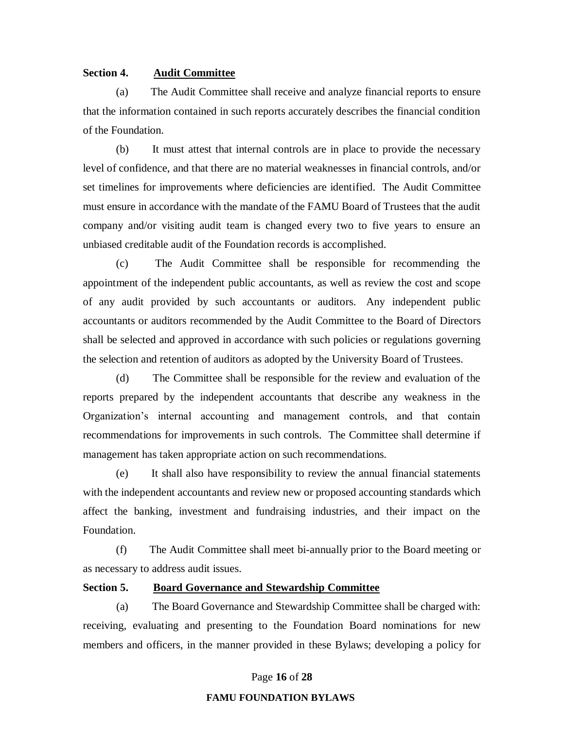## **Section 4. Audit Committee**

(a) The Audit Committee shall receive and analyze financial reports to ensure that the information contained in such reports accurately describes the financial condition of the Foundation.

(b) It must attest that internal controls are in place to provide the necessary level of confidence, and that there are no material weaknesses in financial controls, and/or set timelines for improvements where deficiencies are identified. The Audit Committee must ensure in accordance with the mandate of the FAMU Board of Trustees that the audit company and/or visiting audit team is changed every two to five years to ensure an unbiased creditable audit of the Foundation records is accomplished.

(c) The Audit Committee shall be responsible for recommending the appointment of the independent public accountants, as well as review the cost and scope of any audit provided by such accountants or auditors. Any independent public accountants or auditors recommended by the Audit Committee to the Board of Directors shall be selected and approved in accordance with such policies or regulations governing the selection and retention of auditors as adopted by the University Board of Trustees.

(d) The Committee shall be responsible for the review and evaluation of the reports prepared by the independent accountants that describe any weakness in the Organization's internal accounting and management controls, and that contain recommendations for improvements in such controls. The Committee shall determine if management has taken appropriate action on such recommendations.

(e) It shall also have responsibility to review the annual financial statements with the independent accountants and review new or proposed accounting standards which affect the banking, investment and fundraising industries, and their impact on the Foundation.

(f) The Audit Committee shall meet bi-annually prior to the Board meeting or as necessary to address audit issues.

## **Section 5. Board Governance and Stewardship Committee**

(a) The Board Governance and Stewardship Committee shall be charged with: receiving, evaluating and presenting to the Foundation Board nominations for new members and officers, in the manner provided in these Bylaws; developing a policy for

#### Page **16** of **28**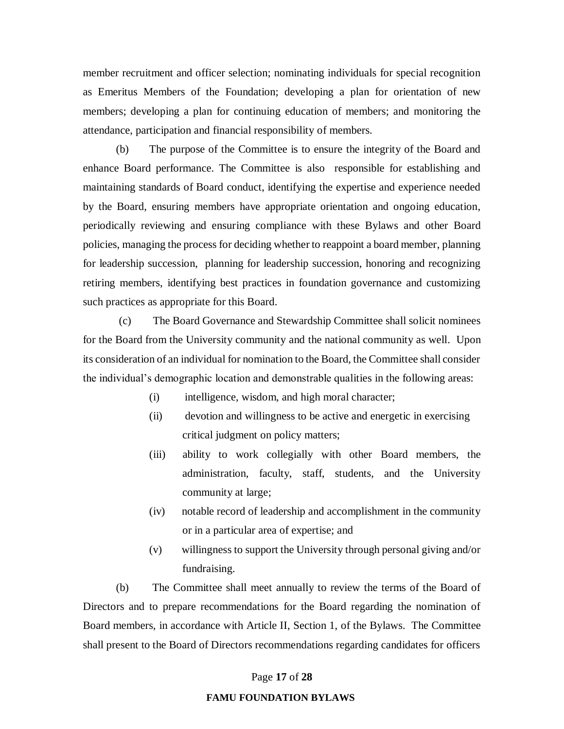member recruitment and officer selection; nominating individuals for special recognition as Emeritus Members of the Foundation; developing a plan for orientation of new members; developing a plan for continuing education of members; and monitoring the attendance, participation and financial responsibility of members.

(b) The purpose of the Committee is to ensure the integrity of the Board and enhance Board performance. The Committee is also responsible for establishing and maintaining standards of Board conduct, identifying the expertise and experience needed by the Board, ensuring members have appropriate orientation and ongoing education, periodically reviewing and ensuring compliance with these Bylaws and other Board policies, managing the process for deciding whether to reappoint a board member, planning for leadership succession, planning for leadership succession, honoring and recognizing retiring members, identifying best practices in foundation governance and customizing such practices as appropriate for this Board.

(c) The Board Governance and Stewardship Committee shall solicit nominees for the Board from the University community and the national community as well. Upon its consideration of an individual for nomination to the Board, the Committee shall consider the individual's demographic location and demonstrable qualities in the following areas:

- (i) intelligence, wisdom, and high moral character;
- (ii) devotion and willingness to be active and energetic in exercising critical judgment on policy matters;
- (iii) ability to work collegially with other Board members, the administration, faculty, staff, students, and the University community at large;
- (iv) notable record of leadership and accomplishment in the community or in a particular area of expertise; and
- (v) willingness to support the University through personal giving and/or fundraising.

(b) The Committee shall meet annually to review the terms of the Board of Directors and to prepare recommendations for the Board regarding the nomination of Board members, in accordance with Article II, Section 1, of the Bylaws. The Committee shall present to the Board of Directors recommendations regarding candidates for officers

#### Page **17** of **28**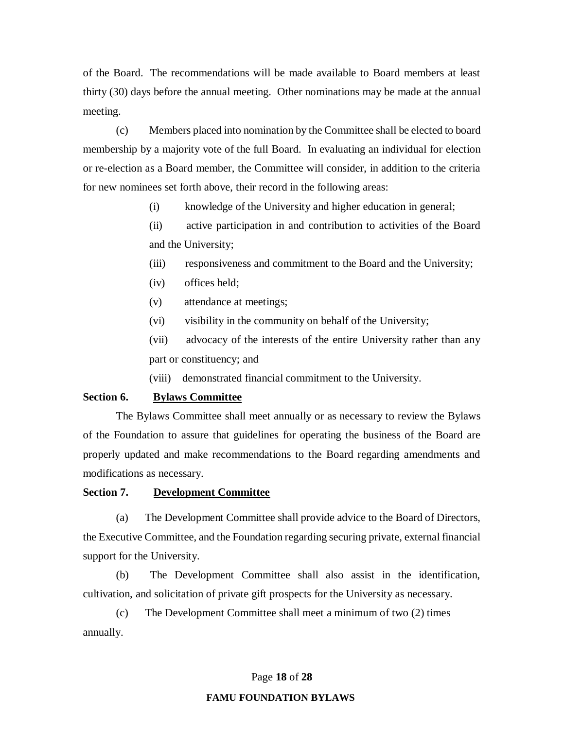of the Board. The recommendations will be made available to Board members at least thirty (30) days before the annual meeting. Other nominations may be made at the annual meeting.

(c) Members placed into nomination by the Committee shall be elected to board membership by a majority vote of the full Board. In evaluating an individual for election or re-election as a Board member, the Committee will consider, in addition to the criteria for new nominees set forth above, their record in the following areas:

(i) knowledge of the University and higher education in general;

(ii) active participation in and contribution to activities of the Board and the University;

(iii) responsiveness and commitment to the Board and the University;

- (iv) offices held;
- (v) attendance at meetings;
- (vi) visibility in the community on behalf of the University;

(vii) advocacy of the interests of the entire University rather than any part or constituency; and

(viii) demonstrated financial commitment to the University.

## **Section 6. Bylaws Committee**

The Bylaws Committee shall meet annually or as necessary to review the Bylaws of the Foundation to assure that guidelines for operating the business of the Board are properly updated and make recommendations to the Board regarding amendments and modifications as necessary.

## **Section 7. Development Committee**

(a) The Development Committee shall provide advice to the Board of Directors, the Executive Committee, and the Foundation regarding securing private, external financial support for the University.

(b) The Development Committee shall also assist in the identification, cultivation, and solicitation of private gift prospects for the University as necessary.

(c) The Development Committee shall meet a minimum of two (2) times annually.

#### Page **18** of **28**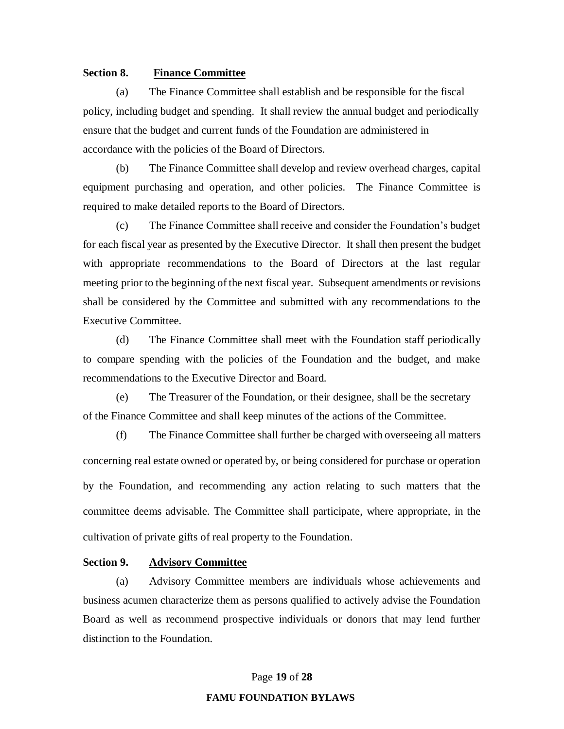## **Section 8. Finance Committee**

(a) The Finance Committee shall establish and be responsible for the fiscal policy, including budget and spending. It shall review the annual budget and periodically ensure that the budget and current funds of the Foundation are administered in accordance with the policies of the Board of Directors.

(b) The Finance Committee shall develop and review overhead charges, capital equipment purchasing and operation, and other policies. The Finance Committee is required to make detailed reports to the Board of Directors.

(c) The Finance Committee shall receive and consider the Foundation's budget for each fiscal year as presented by the Executive Director. It shall then present the budget with appropriate recommendations to the Board of Directors at the last regular meeting prior to the beginning of the next fiscal year. Subsequent amendments or revisions shall be considered by the Committee and submitted with any recommendations to the Executive Committee.

(d) The Finance Committee shall meet with the Foundation staff periodically to compare spending with the policies of the Foundation and the budget, and make recommendations to the Executive Director and Board.

(e) The Treasurer of the Foundation, or their designee, shall be the secretary of the Finance Committee and shall keep minutes of the actions of the Committee.

(f) The Finance Committee shall further be charged with overseeing all matters concerning real estate owned or operated by, or being considered for purchase or operation by the Foundation, and recommending any action relating to such matters that the committee deems advisable. The Committee shall participate, where appropriate, in the cultivation of private gifts of real property to the Foundation.

## **Section 9. Advisory Committee**

(a) Advisory Committee members are individuals whose achievements and business acumen characterize them as persons qualified to actively advise the Foundation Board as well as recommend prospective individuals or donors that may lend further distinction to the Foundation.

Page **19** of **28**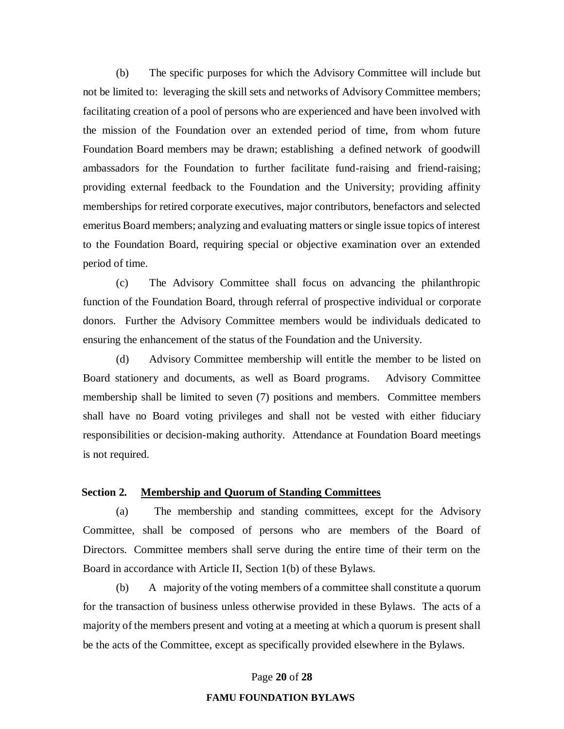(b) The specific purposes for which the Advisory Committee will include but not be limited to: leveraging the skill sets and networks of Advisory Committee members; facilitating creation of a pool of persons who are experienced and have been involved with the mission of the Foundation over an extended period of time, from whom future Foundation Board members may be drawn; establishing a defined network of goodwill ambassadors for the Foundation to further facilitate fund-raising and friend-raising; providing external feedback to the Foundation and the University; providing affinity memberships for retired corporate executives, major contributors, benefactors and selected emeritus Board members; analyzing and evaluating matters or single issue topics of interest to the Foundation Board, requiring special or objective examination over an extended period of time.

(c) The Advisory Committee shall focus on advancing the philanthropic function of the Foundation Board, through referral of prospective individual or corporate donors. Further the Advisory Committee members would be individuals dedicated to ensuring the enhancement of the status of the Foundation and the University.

(d) Advisory Committee membership will entitle the member to be listed on Board stationery and documents, as well as Board programs. Advisory Committee membership shall be limited to seven (7) positions and members. Committee members shall have no Board voting privileges and shall not be vested with either fiduciary responsibilities or decision-making authority. Attendance at Foundation Board meetings is not required.

## **Section 2. Membership and Quorum of Standing Committees**

(a) The membership and standing committees, except for the Advisory Committee, shall be composed of persons who are members of the Board of Directors. Committee members shall serve during the entire time of their term on the Board in accordance with Article II, Section 1(b) of these Bylaws.

(b) A majority of the voting members of a committee shall constitute a quorum for the transaction of business unless otherwise provided in these Bylaws. The acts of a majority of the members present and voting at a meeting at which a quorum is present shall be the acts of the Committee, except as specifically provided elsewhere in the Bylaws.

#### Page **20** of **28**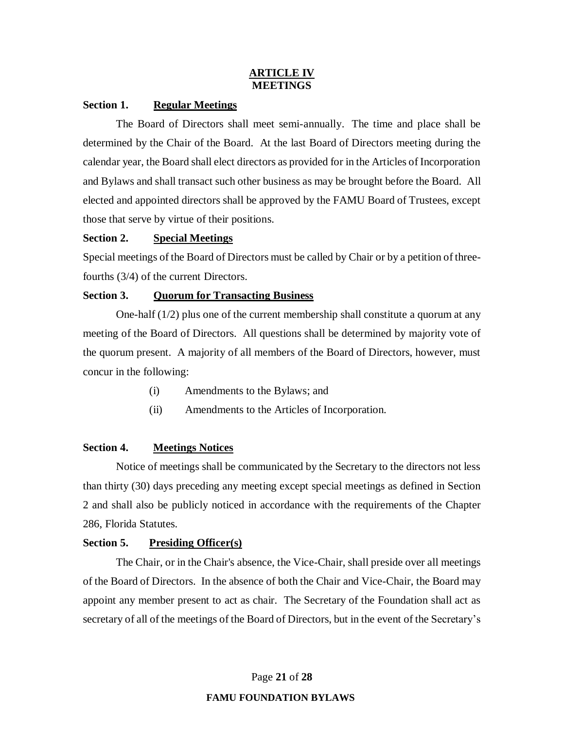## **ARTICLE IV MEETINGS**

## **Section 1. Regular Meetings**

The Board of Directors shall meet semi-annually. The time and place shall be determined by the Chair of the Board. At the last Board of Directors meeting during the calendar year, the Board shall elect directors as provided for in the Articles of Incorporation and Bylaws and shall transact such other business as may be brought before the Board. All elected and appointed directors shall be approved by the FAMU Board of Trustees, except those that serve by virtue of their positions.

## **Section 2. Special Meetings**

Special meetings of the Board of Directors must be called by Chair or by a petition of threefourths (3/4) of the current Directors.

## **Section 3. Quorum for Transacting Business**

One-half  $(1/2)$  plus one of the current membership shall constitute a quorum at any meeting of the Board of Directors. All questions shall be determined by majority vote of the quorum present. A majority of all members of the Board of Directors, however, must concur in the following:

- (i) Amendments to the Bylaws; and
- (ii) Amendments to the Articles of Incorporation.

## **Section 4. Meetings Notices**

Notice of meetings shall be communicated by the Secretary to the directors not less than thirty (30) days preceding any meeting except special meetings as defined in Section 2 and shall also be publicly noticed in accordance with the requirements of the Chapter 286, Florida Statutes.

## **Section 5. Presiding Officer(s)**

The Chair, or in the Chair's absence, the Vice-Chair, shall preside over all meetings of the Board of Directors. In the absence of both the Chair and Vice-Chair, the Board may appoint any member present to act as chair. The Secretary of the Foundation shall act as secretary of all of the meetings of the Board of Directors, but in the event of the Secretary's

Page **21** of **28**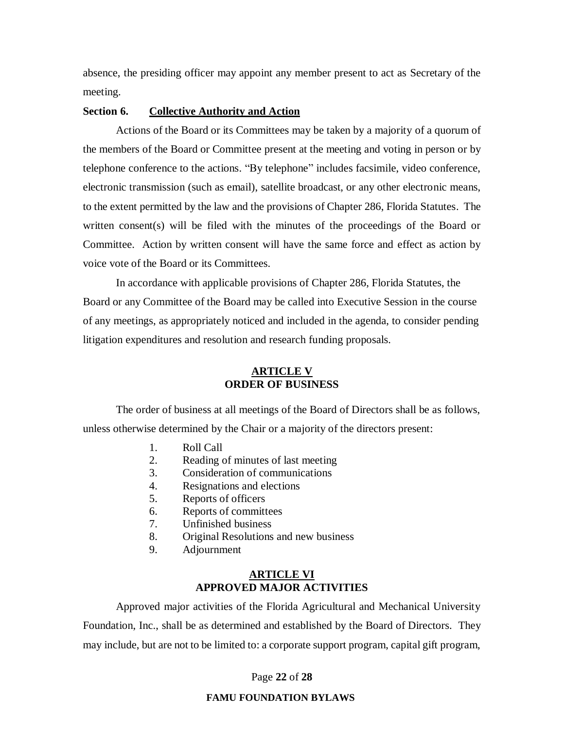absence, the presiding officer may appoint any member present to act as Secretary of the meeting.

## **Section 6. Collective Authority and Action**

Actions of the Board or its Committees may be taken by a majority of a quorum of the members of the Board or Committee present at the meeting and voting in person or by telephone conference to the actions. "By telephone" includes facsimile, video conference, electronic transmission (such as email), satellite broadcast, or any other electronic means, to the extent permitted by the law and the provisions of Chapter 286, Florida Statutes. The written consent(s) will be filed with the minutes of the proceedings of the Board or Committee. Action by written consent will have the same force and effect as action by voice vote of the Board or its Committees.

In accordance with applicable provisions of Chapter 286, Florida Statutes, the Board or any Committee of the Board may be called into Executive Session in the course of any meetings, as appropriately noticed and included in the agenda, to consider pending litigation expenditures and resolution and research funding proposals.

## **ARTICLE V ORDER OF BUSINESS**

The order of business at all meetings of the Board of Directors shall be as follows, unless otherwise determined by the Chair or a majority of the directors present:

- 1. Roll Call
- 2. Reading of minutes of last meeting
- 3. Consideration of communications
- 4. Resignations and elections
- 5. Reports of officers
- 6. Reports of committees
- 7. Unfinished business
- 8. Original Resolutions and new business
- 9. Adjournment

## **ARTICLE VI APPROVED MAJOR ACTIVITIES**

Approved major activities of the Florida Agricultural and Mechanical University Foundation, Inc., shall be as determined and established by the Board of Directors. They may include, but are not to be limited to: a corporate support program, capital gift program,

Page **22** of **28**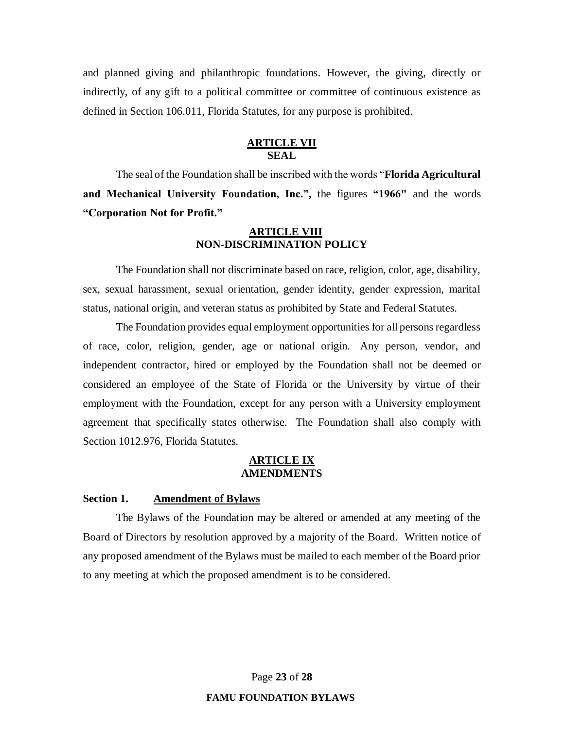and planned giving and philanthropic foundations. However, the giving, directly or indirectly, of any gift to a political committee or committee of continuous existence as defined in Section 106.011, Florida Statutes, for any purpose is prohibited.

## **ARTICLE VII SEAL**

The seal of the Foundation shall be inscribed with the words "**Florida Agricultural and Mechanical University Foundation, Inc.",** the figures **"1966"** and the words **"Corporation Not for Profit."**

## **ARTICLE VIII NON-DISCRIMINATION POLICY**

The Foundation shall not discriminate based on race, religion, color, age, disability, sex, sexual harassment, sexual orientation, gender identity, gender expression, marital status, national origin, and veteran status as prohibited by State and Federal Statutes.

The Foundation provides equal employment opportunities for all persons regardless of race, color, religion, gender, age or national origin. Any person, vendor, and independent contractor, hired or employed by the Foundation shall not be deemed or considered an employee of the State of Florida or the University by virtue of their employment with the Foundation, except for any person with a University employment agreement that specifically states otherwise. The Foundation shall also comply with Section 1012.976, Florida Statutes.

## **ARTICLE IX AMENDMENTS**

#### **Section 1. Amendment of Bylaws**

The Bylaws of the Foundation may be altered or amended at any meeting of the Board of Directors by resolution approved by a majority of the Board. Written notice of any proposed amendment of the Bylaws must be mailed to each member of the Board prior to any meeting at which the proposed amendment is to be considered.

Page **23** of **28**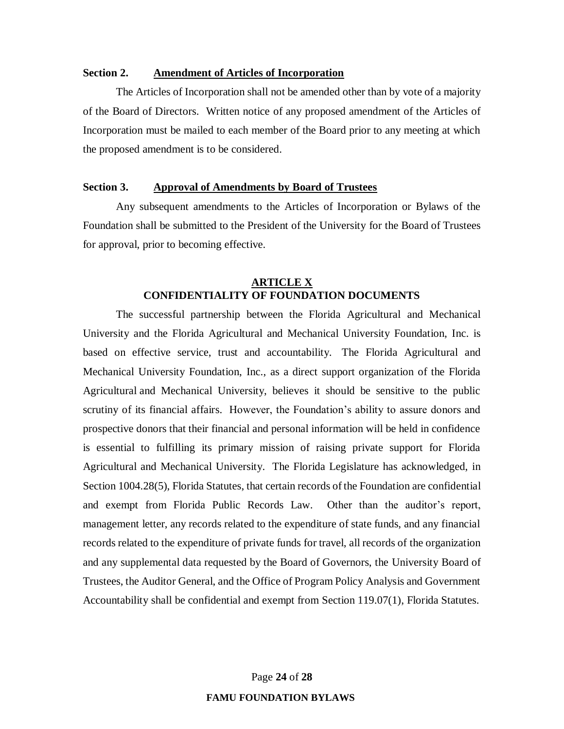## **Section 2. Amendment of Articles of Incorporation**

The Articles of Incorporation shall not be amended other than by vote of a majority of the Board of Directors. Written notice of any proposed amendment of the Articles of Incorporation must be mailed to each member of the Board prior to any meeting at which the proposed amendment is to be considered.

## **Section 3. Approval of Amendments by Board of Trustees**

Any subsequent amendments to the Articles of Incorporation or Bylaws of the Foundation shall be submitted to the President of the University for the Board of Trustees for approval, prior to becoming effective.

## **ARTICLE X CONFIDENTIALITY OF FOUNDATION DOCUMENTS**

The successful partnership between the Florida Agricultural and Mechanical University and the Florida Agricultural and Mechanical University Foundation, Inc. is based on effective service, trust and accountability. The Florida Agricultural and Mechanical University Foundation, Inc., as a direct support organization of the Florida Agricultural and Mechanical University, believes it should be sensitive to the public scrutiny of its financial affairs. However, the Foundation's ability to assure donors and prospective donors that their financial and personal information will be held in confidence is essential to fulfilling its primary mission of raising private support for Florida Agricultural and Mechanical University. The Florida Legislature has acknowledged, in Section 1004.28(5), Florida Statutes, that certain records of the Foundation are confidential and exempt from Florida Public Records Law. Other than the auditor's report, management letter, any records related to the expenditure of state funds, and any financial records related to the expenditure of private funds for travel, all records of the organization and any supplemental data requested by the Board of Governors, the University Board of Trustees, the Auditor General, and the Office of Program Policy Analysis and Government Accountability shall be confidential and exempt from Section 119.07(1), Florida Statutes.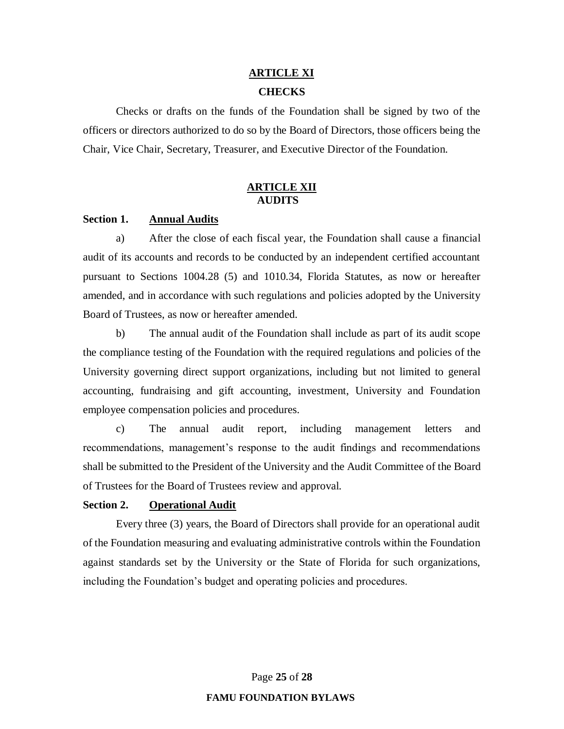#### **ARTICLE XI**

## **CHECKS**

Checks or drafts on the funds of the Foundation shall be signed by two of the officers or directors authorized to do so by the Board of Directors, those officers being the Chair, Vice Chair, Secretary, Treasurer, and Executive Director of the Foundation.

## **ARTICLE XII AUDITS**

## **Section 1. Annual Audits**

a) After the close of each fiscal year, the Foundation shall cause a financial audit of its accounts and records to be conducted by an independent certified accountant pursuant to Sections 1004.28 (5) and 1010.34, Florida Statutes, as now or hereafter amended, and in accordance with such regulations and policies adopted by the University Board of Trustees, as now or hereafter amended.

b) The annual audit of the Foundation shall include as part of its audit scope the compliance testing of the Foundation with the required regulations and policies of the University governing direct support organizations, including but not limited to general accounting, fundraising and gift accounting, investment, University and Foundation employee compensation policies and procedures.

c) The annual audit report, including management letters and recommendations, management's response to the audit findings and recommendations shall be submitted to the President of the University and the Audit Committee of the Board of Trustees for the Board of Trustees review and approval.

#### **Section 2. Operational Audit**

Every three (3) years, the Board of Directors shall provide for an operational audit of the Foundation measuring and evaluating administrative controls within the Foundation against standards set by the University or the State of Florida for such organizations, including the Foundation's budget and operating policies and procedures.

Page **25** of **28**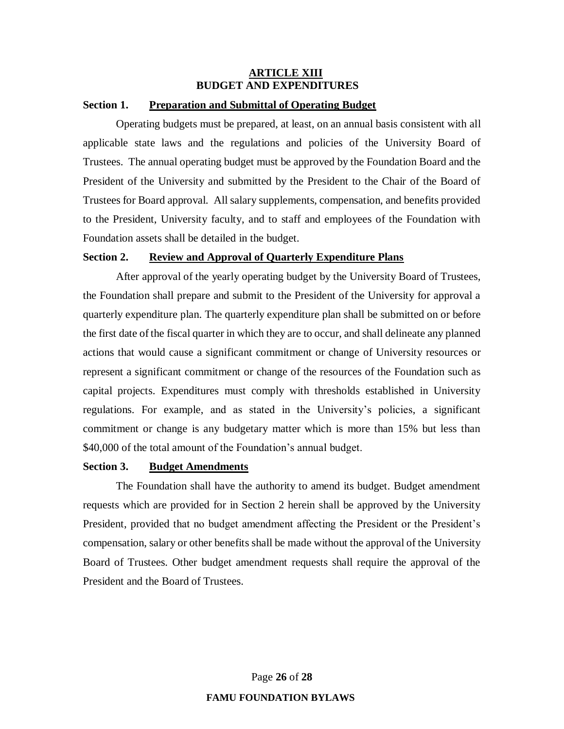## **ARTICLE XIII BUDGET AND EXPENDITURES**

## **Section 1. Preparation and Submittal of Operating Budget**

Operating budgets must be prepared, at least, on an annual basis consistent with all applicable state laws and the regulations and policies of the University Board of Trustees. The annual operating budget must be approved by the Foundation Board and the President of the University and submitted by the President to the Chair of the Board of Trustees for Board approval. All salary supplements, compensation, and benefits provided to the President, University faculty, and to staff and employees of the Foundation with Foundation assets shall be detailed in the budget.

## **Section 2. Review and Approval of Quarterly Expenditure Plans**

After approval of the yearly operating budget by the University Board of Trustees, the Foundation shall prepare and submit to the President of the University for approval a quarterly expenditure plan. The quarterly expenditure plan shall be submitted on or before the first date of the fiscal quarter in which they are to occur, and shall delineate any planned actions that would cause a significant commitment or change of University resources or represent a significant commitment or change of the resources of the Foundation such as capital projects. Expenditures must comply with thresholds established in University regulations. For example, and as stated in the University's policies, a significant commitment or change is any budgetary matter which is more than 15% but less than \$40,000 of the total amount of the Foundation's annual budget.

## **Section 3. Budget Amendments**

The Foundation shall have the authority to amend its budget. Budget amendment requests which are provided for in Section 2 herein shall be approved by the University President, provided that no budget amendment affecting the President or the President's compensation, salary or other benefits shall be made without the approval of the University Board of Trustees. Other budget amendment requests shall require the approval of the President and the Board of Trustees.